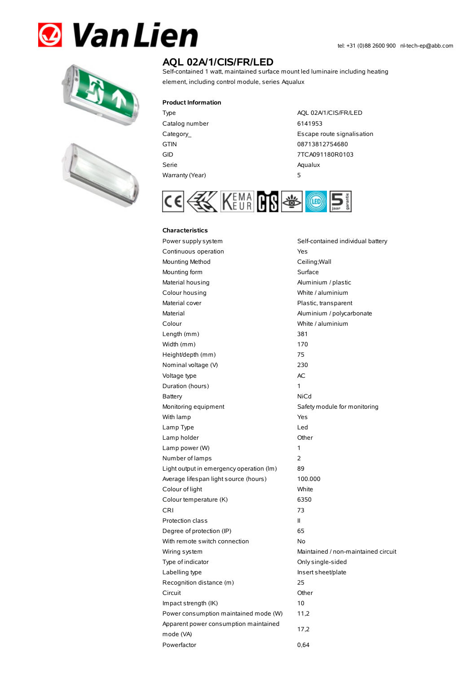# **& Van Lien**





# **AQL 02A/1/CIS/FR/LED**

Self-contained 1 watt, maintained surface mount led luminaire including heating element, including control module, series Aqualux

#### **Product Information**

Catalog number 6141953 GTIN 08713812754680 Serie Aqualux Warranty(Year) 5

Type AQL 02A/1/CIS/FR/LED Category\_ **Escape route signalisation** GID 7TCA091180R0103



#### **Characteristics**

Power supply system Self-contained individual battery Continuous operation The Continuous operation Mounting Method **Ceiling**; Wall Mounting form **Surface** Material housing **Aluminium / plastic** Colour housing White / aluminium Material cover **Plastic, transparent** Material Material Aluminium / polycarbonate Colour White / aluminium Length (mm) 381 Width (mm) 170 Height/depth (mm) 75 Nominal voltage (V) 230 Voltage type and a set of the AC Duration (hours) 1 Battery NiCd Monitoring equipment Safety module for monitoring With lamp **Yes** Lamp Type Led Lamp holder **Community** Chern Community Community Chern Chern Chern Chern Chern Chern Chern Chern Chern Chern Chern Chern Chern Chern Chern Chern Chern Chern Chern Chern Chern Chern Chern Chern Chern Chern Chern Chern Cher Lamp power (W) 1 Number of lamps 2 Light output in emergency operation (lm) 89 Average lifespan light source (hours) 100.000 Colour of light White Colour temperature (K) 6350 CRI 73 Protection class II Degree of protection (IP) 65 With remote switch connection No Wiring system **Maintained / non-maintained circuit** Type of indicator Christian Conlysingle-sided Labelling type **Insert sheet/plate** Recognition distance (m) 25 Circuit Other Impact strength (IK) 10 Power consumption maintained mode (W) 11,2 Apparent power consumption maintained mode (VA) 17,2 Powerfactor 0.64